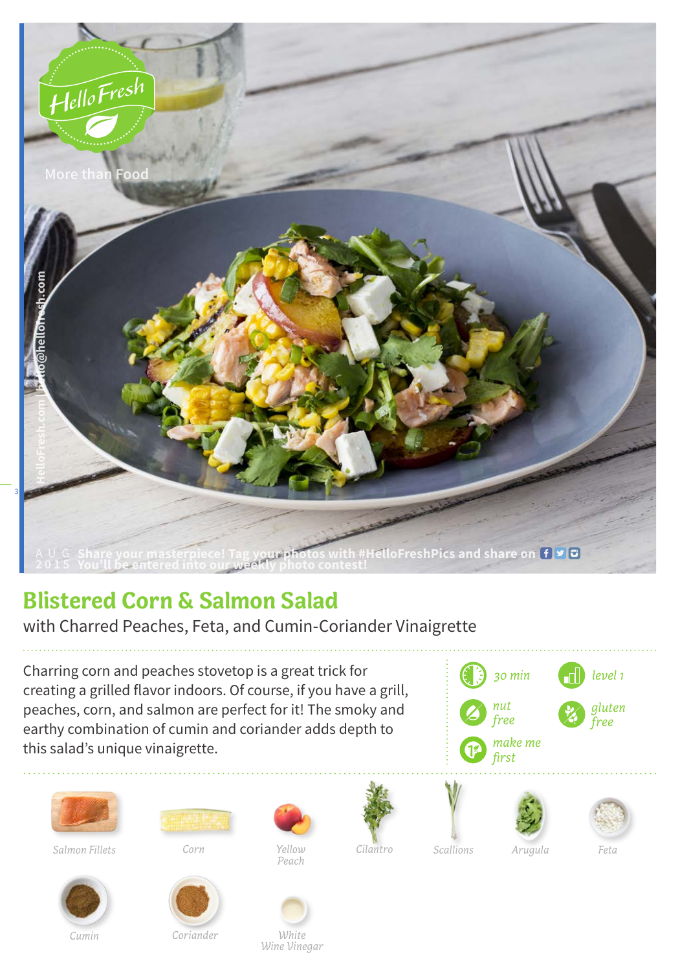

## **Blistered Corn & Salmon Salad**

with Charred Peaches, Feta, and Cumin-Coriander Vinaigrette

Charring corn and peaches stovetop is a great trick for creating a grilled flavor indoors. Of course, if you have a grill, peaches, corn, and salmon are perfect for it! The smoky and earthy combination of cumin and coriander adds depth to this salad's unique vinaigrette.





*Salmon Fillets*



*Yellow Peach Corn Cilantro Arugula Feta*





*Cumin*



 *Coriander*

*White Wine Vinegar*